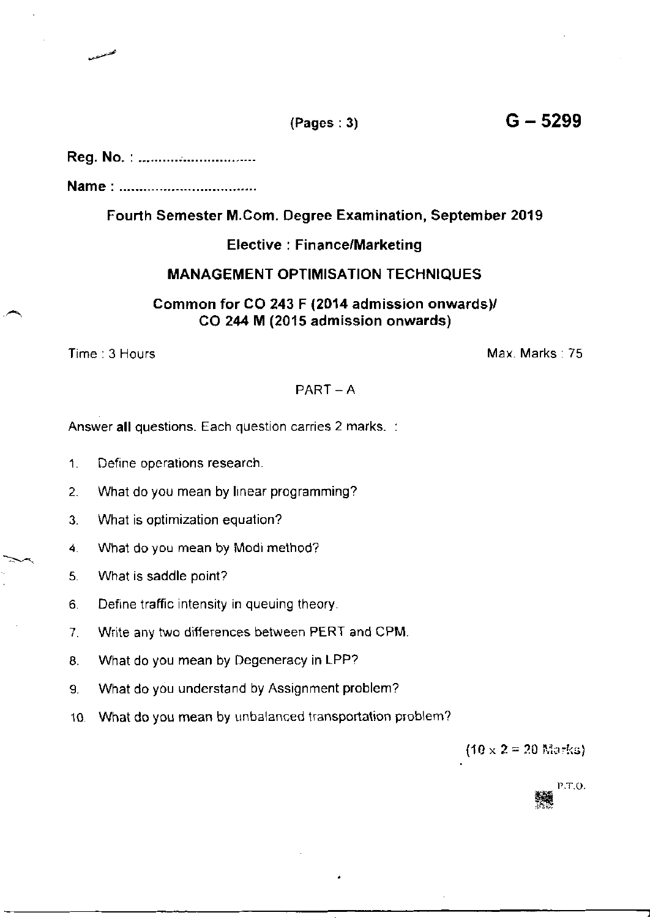# Reg. No. : ...........................

Name

## Fourth Semester M.Com. Degree Examination, September 2019

### Elective : Finance/Marketing

## MANAGEMENT OPTIMISATION TECHNIQUES

Common for CO 243 F (2014 admission onwards)/ CO 244 M (2015 admission onwards)

Time: 3 Hours Max. Marks: 75

# $PART - A$

Answer all questions. Each question carries 2 marks. :

- 1. Define operations research.
- 2. What do you mean by Inear programming?
- 3. What is optimization equation?
- 4. What do you mean by Modi method?
- 5. What is saddle point?
- 6. Define traffic intensity in queuing theory
- 7. Write any two differences between PERT and CPM.
- 8. What do you mean by Degeneracy in LPP?
- 9. What do you understand by Assignment problem?
- 10 What do you mean by unbalanced transportation problem?

 $(10 \times 2 = 20$  Marks)

P.T.O.

 $(Pages:3)$   $G-5299$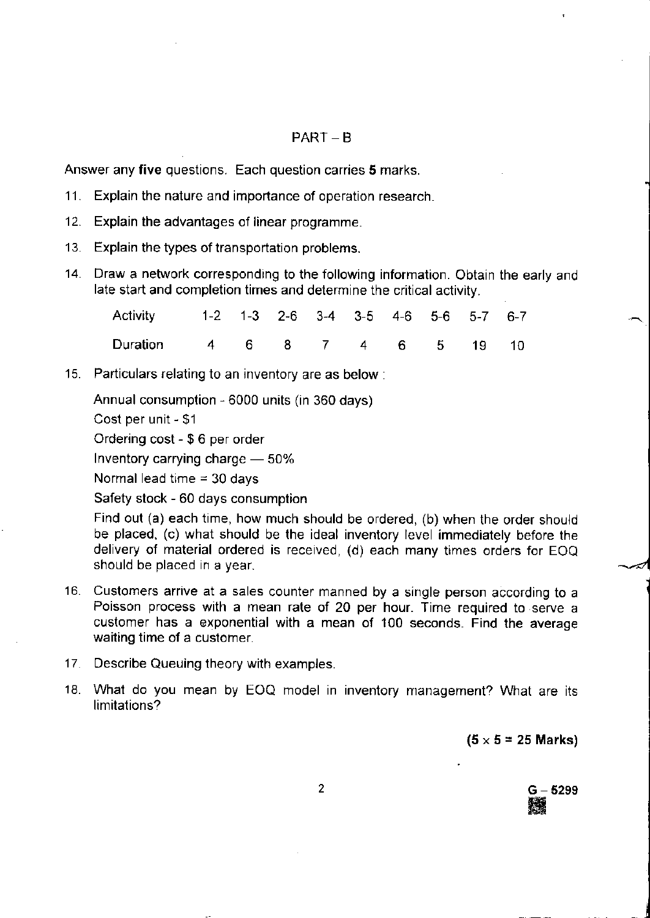#### PART \_ B

Answer any five questions. Each question carries 5 marks.

- 11. Explain the nature and importance of operation research.
- 12. Explain the advantages of linear programme.
- 13. Explain the types of transportation problems.
- 14. Draw a network corresponding to the following information. Obtain the early and late start and completion times and determine the critical activity.

| Activity 1-2 1-3 2-6 3-4 3-5 4-6 5-6 5-7 6-7 |  |  |  |  |  |
|----------------------------------------------|--|--|--|--|--|
| Duration 4 6 8 7 4 6 5 19 10                 |  |  |  |  |  |

'15. Particulars relating to an inventory are as below:

Annual consumption - 6000 units (in 360 days)

Cost per unit - \$1

Ordering cost - \$ 6 per order

lnventory carrying charge - 50%

Normal lead time  $=$  30 days

Safety stock - 60 days consumption

Find out (a) each time, how much should be ordered, (b) when the order should be placed, (c) what should be the ideal inventory level immediately before the delivery of material ordered is received, (d) each many times orders for EOQ should be placed in a year.

- Customers arrive at a sales counter manned by a single person according to <sup>a</sup> 16. Poisson process with a mean rate of 20 per hour. Time required to serve <sup>a</sup> customer has a exponential with a mean of 100 seconds. Find the average waiting time of a customer.
- 17. Describe Queuing theory with examples.
- What do you mean by EOQ model in inventory management? What are its 18 limitations?

 $(5 \times 5 = 25$  Marks)

G – 5299<br>▓